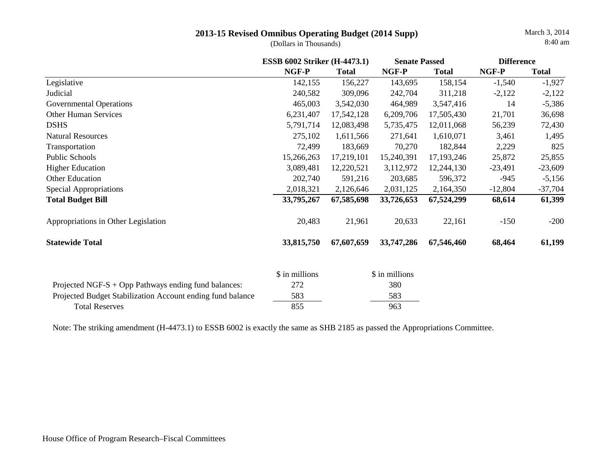(Dollars in Thousands)

|                                                            | <b>ESSB 6002 Striker (H-4473.1)</b> |              | <b>Senate Passed</b> |              | <b>Difference</b> |              |
|------------------------------------------------------------|-------------------------------------|--------------|----------------------|--------------|-------------------|--------------|
|                                                            | NGF-P                               | <b>Total</b> | NGF-P                | <b>Total</b> | NGF-P             | <b>Total</b> |
| Legislative                                                | 142,155                             | 156,227      | 143,695              | 158,154      | $-1,540$          | $-1,927$     |
| Judicial                                                   | 240,582                             | 309,096      | 242,704              | 311,218      | $-2,122$          | $-2,122$     |
| <b>Governmental Operations</b>                             | 465,003                             | 3,542,030    | 464,989              | 3,547,416    | 14                | $-5,386$     |
| <b>Other Human Services</b>                                | 6,231,407                           | 17,542,128   | 6,209,706            | 17,505,430   | 21,701            | 36,698       |
| <b>DSHS</b>                                                | 5,791,714                           | 12,083,498   | 5,735,475            | 12,011,068   | 56,239            | 72,430       |
| <b>Natural Resources</b>                                   | 275,102                             | 1,611,566    | 271,641              | 1,610,071    | 3,461             | 1,495        |
| Transportation                                             | 72,499                              | 183,669      | 70,270               | 182,844      | 2,229             | 825          |
| Public Schools                                             | 15,266,263                          | 17,219,101   | 15,240,391           | 17, 193, 246 | 25,872            | 25,855       |
| <b>Higher Education</b>                                    | 3,089,481                           | 12,220,521   | 3,112,972            | 12,244,130   | $-23,491$         | $-23,609$    |
| Other Education                                            | 202,740                             | 591,216      | 203,685              | 596,372      | $-945$            | $-5,156$     |
| Special Appropriations                                     | 2,018,321                           | 2,126,646    | 2,031,125            | 2,164,350    | $-12,804$         | $-37,704$    |
| <b>Total Budget Bill</b>                                   | 33,795,267                          | 67,585,698   | 33,726,653           | 67,524,299   | 68,614            | 61,399       |
| Appropriations in Other Legislation                        | 20,483                              | 21,961       | 20,633               | 22,161       | $-150$            | $-200$       |
| <b>Statewide Total</b>                                     | 33,815,750                          | 67,607,659   | 33,747,286           | 67,546,460   | 68,464            | 61,199       |
|                                                            | \$ in millions                      |              | \$ in millions       |              |                   |              |
| Projected NGF-S $+$ Opp Pathways ending fund balances:     | 272                                 |              | 380                  |              |                   |              |
| Projected Budget Stabilization Account ending fund balance | 583                                 |              | 583                  |              |                   |              |
| <b>Total Reserves</b>                                      | 855                                 |              | 963                  |              |                   |              |

Note: The striking amendment (H-4473.1) to ESSB 6002 is exactly the same as SHB 2185 as passed the Appropriations Committee.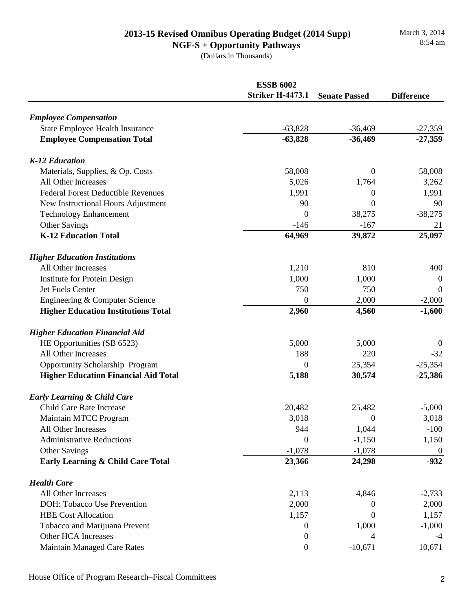**NGF-S + Opportunity Pathways** (Dollars in Thousands)

|                                             | <b>ESSB 6002</b><br><b>Striker H-4473.1</b> | <b>Senate Passed</b> | <b>Difference</b> |
|---------------------------------------------|---------------------------------------------|----------------------|-------------------|
| <b>Employee Compensation</b>                |                                             |                      |                   |
| <b>State Employee Health Insurance</b>      | $-63,828$                                   | $-36,469$            | $-27,359$         |
| <b>Employee Compensation Total</b>          | $-63,828$                                   | $-36,469$            | $-27,359$         |
| <b>K-12 Education</b>                       |                                             |                      |                   |
| Materials, Supplies, & Op. Costs            | 58,008                                      | $\Omega$             | 58,008            |
| All Other Increases                         | 5,026                                       | 1,764                | 3,262             |
| <b>Federal Forest Deductible Revenues</b>   | 1,991                                       | 0                    | 1,991             |
| New Instructional Hours Adjustment          | 90                                          | 0                    | 90                |
| <b>Technology Enhancement</b>               | 0                                           | 38,275               | $-38,275$         |
| Other Savings                               | $-146$                                      | $-167$               | 21                |
| <b>K-12 Education Total</b>                 | 64,969                                      | 39,872               | 25,097            |
| <b>Higher Education Institutions</b>        |                                             |                      |                   |
| All Other Increases                         | 1,210                                       | 810                  | 400               |
| <b>Institute for Protein Design</b>         | 1,000                                       | 1,000                | $\boldsymbol{0}$  |
| Jet Fuels Center                            | 750                                         | 750                  | $\boldsymbol{0}$  |
| Engineering & Computer Science              | 0                                           | 2,000                | $-2,000$          |
| <b>Higher Education Institutions Total</b>  | 2,960                                       | 4,560                | $-1,600$          |
| <b>Higher Education Financial Aid</b>       |                                             |                      |                   |
| HE Opportunities (SB 6523)                  | 5,000                                       | 5,000                | $\theta$          |
| All Other Increases                         | 188                                         | 220                  | $-32$             |
| <b>Opportunity Scholarship Program</b>      | 0                                           | 25,354               | $-25,354$         |
| <b>Higher Education Financial Aid Total</b> | 5,188                                       | 30,574               | $-25,386$         |
| <b>Early Learning &amp; Child Care</b>      |                                             |                      |                   |
| Child Care Rate Increase                    | 20,482                                      | 25,482               | $-5,000$          |
| Maintain MTCC Program                       | 3,018                                       | $\boldsymbol{0}$     | 3,018             |
| All Other Increases                         | 944                                         | 1,044                | $-100$            |
| <b>Administrative Reductions</b>            | $\Omega$                                    | $-1,150$             | 1,150             |
| Other Savings                               | $-1,078$                                    | $-1,078$             | $\boldsymbol{0}$  |
| Early Learning & Child Care Total           | 23,366                                      | 24,298               | $-932$            |
| <b>Health Care</b>                          |                                             |                      |                   |
| <b>All Other Increases</b>                  | 2,113                                       | 4,846                | $-2,733$          |
| DOH: Tobacco Use Prevention                 | 2,000                                       | 0                    | 2,000             |
| <b>HBE Cost Allocation</b>                  | 1,157                                       | $\Omega$             | 1,157             |
| Tobacco and Marijuana Prevent               | $\boldsymbol{0}$                            | 1,000                | $-1,000$          |
| Other HCA Increases                         | 0                                           | 4                    | -4                |
| <b>Maintain Managed Care Rates</b>          | $\boldsymbol{0}$                            | $-10,671$            | 10,671            |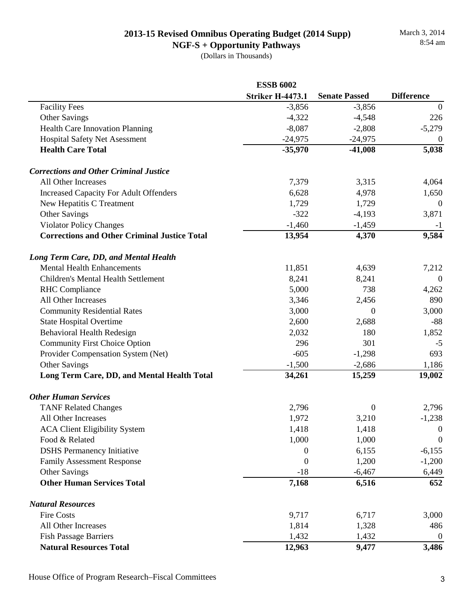**NGF-S + Opportunity Pathways** (Dollars in Thousands)

|                                                     | <b>ESSB 6002</b>        |                      |                   |
|-----------------------------------------------------|-------------------------|----------------------|-------------------|
|                                                     | <b>Striker H-4473.1</b> | <b>Senate Passed</b> | <b>Difference</b> |
| <b>Facility Fees</b>                                | $-3,856$                | $-3,856$             | $\boldsymbol{0}$  |
| Other Savings                                       | $-4,322$                | $-4,548$             | 226               |
| Health Care Innovation Planning                     | $-8,087$                | $-2,808$             | $-5,279$          |
| <b>Hospital Safety Net Asessment</b>                | $-24,975$               | $-24,975$            | $\overline{0}$    |
| <b>Health Care Total</b>                            | $-35,970$               | $-41,008$            | 5,038             |
| <b>Corrections and Other Criminal Justice</b>       |                         |                      |                   |
| All Other Increases                                 | 7,379                   | 3,315                | 4,064             |
| <b>Increased Capacity For Adult Offenders</b>       | 6,628                   | 4,978                | 1,650             |
| New Hepatitis C Treatment                           | 1,729                   | 1,729                | $\theta$          |
| Other Savings                                       | $-322$                  | $-4,193$             | 3,871             |
| <b>Violator Policy Changes</b>                      | $-1,460$                | $-1,459$             | $-1$              |
| <b>Corrections and Other Criminal Justice Total</b> | 13,954                  | 4,370                | 9,584             |
| Long Term Care, DD, and Mental Health               |                         |                      |                   |
| <b>Mental Health Enhancements</b>                   | 11,851                  | 4,639                | 7,212             |
| Children's Mental Health Settlement                 | 8,241                   | 8,241                | $\overline{0}$    |
| <b>RHC</b> Compliance                               | 5,000                   | 738                  | 4,262             |
| All Other Increases                                 | 3,346                   | 2,456                | 890               |
| <b>Community Residential Rates</b>                  | 3,000                   | 0                    | 3,000             |
| <b>State Hospital Overtime</b>                      | 2,600                   | 2,688                | $-88$             |
| <b>Behavioral Health Redesign</b>                   | 2,032                   | 180                  | 1,852             |
| <b>Community First Choice Option</b>                | 296                     | 301                  | $-5$              |
| Provider Compensation System (Net)                  | $-605$                  | $-1,298$             | 693               |
| Other Savings                                       | $-1,500$                | $-2,686$             | 1,186             |
| Long Term Care, DD, and Mental Health Total         | 34,261                  | 15,259               | 19,002            |
| <b>Other Human Services</b>                         |                         |                      |                   |
| <b>TANF Related Changes</b>                         | 2,796                   | 0                    | 2,796             |
| All Other Increases                                 | 1,972                   | 3,210                | $-1,238$          |
| <b>ACA Client Eligibility System</b>                | 1,418                   | 1,418                | $\boldsymbol{0}$  |
| Food & Related                                      | 1,000                   | 1,000                | $\overline{0}$    |
| <b>DSHS</b> Permanency Initiative                   | 0                       | 6,155                | $-6,155$          |
| <b>Family Assessment Response</b>                   | $\boldsymbol{0}$        | 1,200                | $-1,200$          |
| Other Savings                                       | $-18$                   | $-6,467$             | 6,449             |
| <b>Other Human Services Total</b>                   | 7,168                   | 6,516                | 652               |
| <b>Natural Resources</b>                            |                         |                      |                   |
| <b>Fire Costs</b>                                   | 9,717                   | 6,717                | 3,000             |
| All Other Increases                                 | 1,814                   | 1,328                | 486               |
| <b>Fish Passage Barriers</b>                        | 1,432                   | 1,432                | $\boldsymbol{0}$  |
| <b>Natural Resources Total</b>                      | 12,963                  | 9,477                | 3,486             |